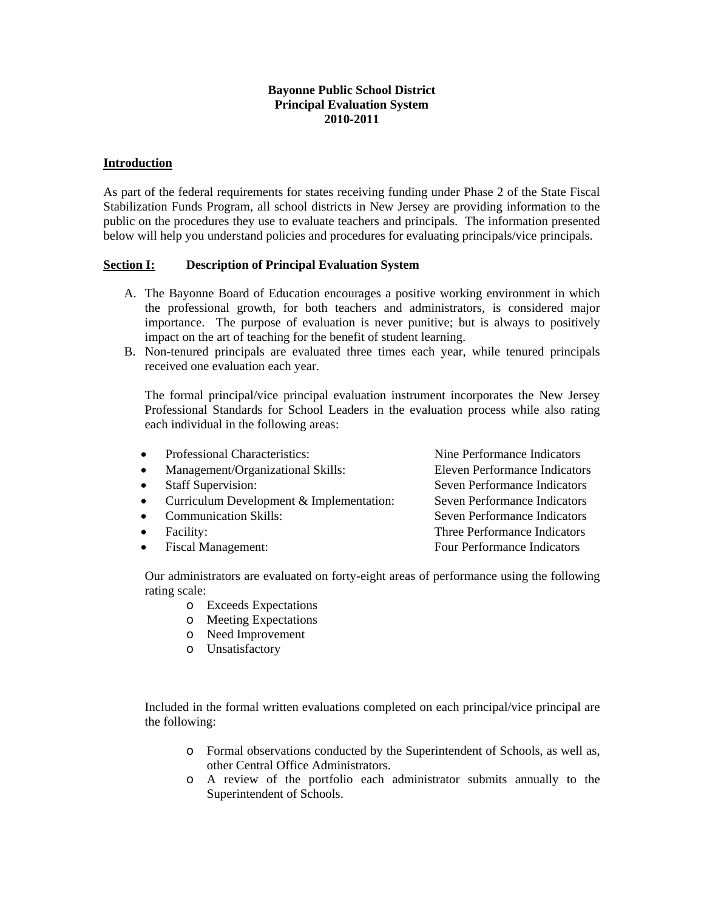## **Bayonne Public School District Principal Evaluation System 2010-2011**

#### **Introduction**

As part of the federal requirements for states receiving funding under Phase 2 of the State Fiscal Stabilization Funds Program, all school districts in New Jersey are providing information to the public on the procedures they use to evaluate teachers and principals. The information presented below will help you understand policies and procedures for evaluating principals/vice principals.

# **Section I: Description of Principal Evaluation System**

- A. The Bayonne Board of Education encourages a positive working environment in which the professional growth, for both teachers and administrators, is considered major importance. The purpose of evaluation is never punitive; but is always to positively impact on the art of teaching for the benefit of student learning.
- B. Non-tenured principals are evaluated three times each year, while tenured principals received one evaluation each year.

 The formal principal/vice principal evaluation instrument incorporates the New Jersey Professional Standards for School Leaders in the evaluation process while also rating each individual in the following areas:

• Professional Characteristics: Nine Performance Indicators

• Management/Organizational Skills: Eleven Performance Indicators

- 
- Curriculum Development & Implementation: Seven Performance Indicators
- 
- 
- 

• Staff Supervision: Seven Performance Indicators • Communication Skills: Seven Performance Indicators • Facility: Three Performance Indicators • Fiscal Management: Four Performance Indicators

 Our administrators are evaluated on forty-eight areas of performance using the following rating scale:

- o Exceeds Expectations
- o Meeting Expectations
- o Need Improvement
- o Unsatisfactory

 Included in the formal written evaluations completed on each principal/vice principal are the following:

- o Formal observations conducted by the Superintendent of Schools, as well as, other Central Office Administrators.
- o A review of the portfolio each administrator submits annually to the Superintendent of Schools.